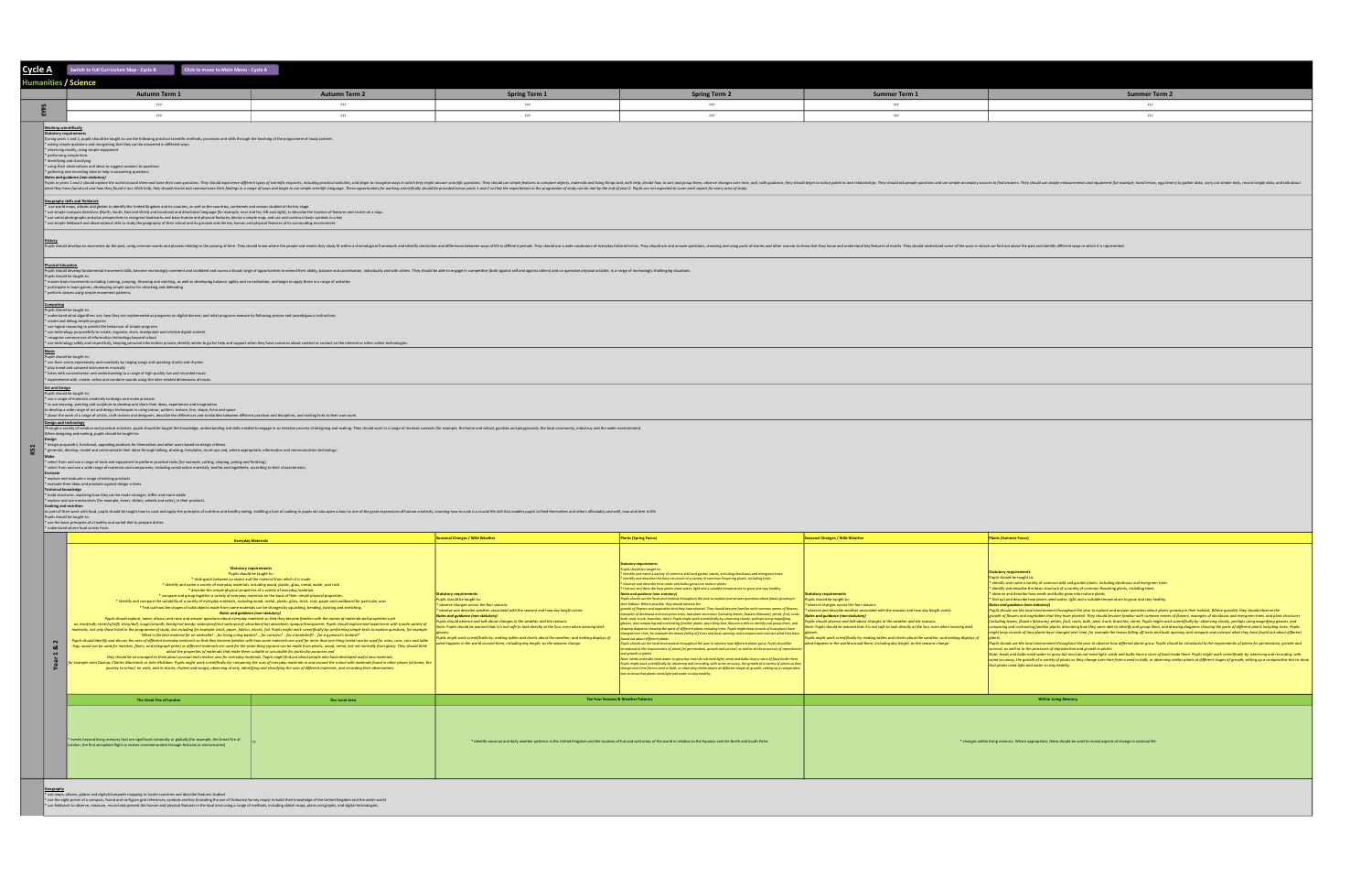| <b>Summer Term 2</b>                                                                                                                                                                                                                                                                                                                                                                                                                                                                                                                                                                                                                                                                                                                                                                                                                                                                                                                                                                                                                                                                                                                                                                                                                                                                                                                                                                                                                                                                                                                                                                                                                                                                                                                                                                                                                                                                                                                                                                                                                                                                                                                                                                                                |
|---------------------------------------------------------------------------------------------------------------------------------------------------------------------------------------------------------------------------------------------------------------------------------------------------------------------------------------------------------------------------------------------------------------------------------------------------------------------------------------------------------------------------------------------------------------------------------------------------------------------------------------------------------------------------------------------------------------------------------------------------------------------------------------------------------------------------------------------------------------------------------------------------------------------------------------------------------------------------------------------------------------------------------------------------------------------------------------------------------------------------------------------------------------------------------------------------------------------------------------------------------------------------------------------------------------------------------------------------------------------------------------------------------------------------------------------------------------------------------------------------------------------------------------------------------------------------------------------------------------------------------------------------------------------------------------------------------------------------------------------------------------------------------------------------------------------------------------------------------------------------------------------------------------------------------------------------------------------------------------------------------------------------------------------------------------------------------------------------------------------------------------------------------------------------------------------------------------------|
| ???                                                                                                                                                                                                                                                                                                                                                                                                                                                                                                                                                                                                                                                                                                                                                                                                                                                                                                                                                                                                                                                                                                                                                                                                                                                                                                                                                                                                                                                                                                                                                                                                                                                                                                                                                                                                                                                                                                                                                                                                                                                                                                                                                                                                                 |
| ???                                                                                                                                                                                                                                                                                                                                                                                                                                                                                                                                                                                                                                                                                                                                                                                                                                                                                                                                                                                                                                                                                                                                                                                                                                                                                                                                                                                                                                                                                                                                                                                                                                                                                                                                                                                                                                                                                                                                                                                                                                                                                                                                                                                                                 |
| es to find answers. They should use simple measurements and equipment (for example, hand lenses, egg timers) to gather data, carry out simple tests, record simple data, and talk about                                                                                                                                                                                                                                                                                                                                                                                                                                                                                                                                                                                                                                                                                                                                                                                                                                                                                                                                                                                                                                                                                                                                                                                                                                                                                                                                                                                                                                                                                                                                                                                                                                                                                                                                                                                                                                                                                                                                                                                                                             |
|                                                                                                                                                                                                                                                                                                                                                                                                                                                                                                                                                                                                                                                                                                                                                                                                                                                                                                                                                                                                                                                                                                                                                                                                                                                                                                                                                                                                                                                                                                                                                                                                                                                                                                                                                                                                                                                                                                                                                                                                                                                                                                                                                                                                                     |
| we find out about the past and identify different ways in which it is represented.                                                                                                                                                                                                                                                                                                                                                                                                                                                                                                                                                                                                                                                                                                                                                                                                                                                                                                                                                                                                                                                                                                                                                                                                                                                                                                                                                                                                                                                                                                                                                                                                                                                                                                                                                                                                                                                                                                                                                                                                                                                                                                                                  |
|                                                                                                                                                                                                                                                                                                                                                                                                                                                                                                                                                                                                                                                                                                                                                                                                                                                                                                                                                                                                                                                                                                                                                                                                                                                                                                                                                                                                                                                                                                                                                                                                                                                                                                                                                                                                                                                                                                                                                                                                                                                                                                                                                                                                                     |
|                                                                                                                                                                                                                                                                                                                                                                                                                                                                                                                                                                                                                                                                                                                                                                                                                                                                                                                                                                                                                                                                                                                                                                                                                                                                                                                                                                                                                                                                                                                                                                                                                                                                                                                                                                                                                                                                                                                                                                                                                                                                                                                                                                                                                     |
|                                                                                                                                                                                                                                                                                                                                                                                                                                                                                                                                                                                                                                                                                                                                                                                                                                                                                                                                                                                                                                                                                                                                                                                                                                                                                                                                                                                                                                                                                                                                                                                                                                                                                                                                                                                                                                                                                                                                                                                                                                                                                                                                                                                                                     |
|                                                                                                                                                                                                                                                                                                                                                                                                                                                                                                                                                                                                                                                                                                                                                                                                                                                                                                                                                                                                                                                                                                                                                                                                                                                                                                                                                                                                                                                                                                                                                                                                                                                                                                                                                                                                                                                                                                                                                                                                                                                                                                                                                                                                                     |
|                                                                                                                                                                                                                                                                                                                                                                                                                                                                                                                                                                                                                                                                                                                                                                                                                                                                                                                                                                                                                                                                                                                                                                                                                                                                                                                                                                                                                                                                                                                                                                                                                                                                                                                                                                                                                                                                                                                                                                                                                                                                                                                                                                                                                     |
| <b>Plants (Summer Focus)</b>                                                                                                                                                                                                                                                                                                                                                                                                                                                                                                                                                                                                                                                                                                                                                                                                                                                                                                                                                                                                                                                                                                                                                                                                                                                                                                                                                                                                                                                                                                                                                                                                                                                                                                                                                                                                                                                                                                                                                                                                                                                                                                                                                                                        |
| <b>Statutory requirements</b><br>Pupils should be taught to:<br>* identify and name a variety of common wild and garden plants, including deciduous and evergreen trees<br>* identify and describe the basic structure of a variety of common flowering plants, including trees.<br>* observe and describe how seeds and bulbs grow into mature plants<br>* find out and describe how plants need water, light and a suitable temperature to grow and stay healthy.<br><b>Notes and auidance (non-statutory)</b><br>Pupils should use the local environment throughout the year to explore and answer questions about plants growing in their habitat. Where possible, they should observe the<br>growth of flowers and vegetables that they have planted. They should become familiar with common names of flowers, examples of deciduous and evergreen trees, and plant structures<br>(including leaves, flowers (blossom), petals, fruit, roots, bulb, seed, trunk, branches, stem). Pupils might work scientifically by: observing closely, perhaps using magnifying glasses, and<br>comparing and contrasting familiar plants; describing how they were able to identify and group them, and drawing diagrams showing the parts of different plants including trees. Pupils<br>might keep records of how plants have changed over time, for example the leaves falling off trees and buds opening; and compare and contrast what they have found out about different<br>plants.<br>Pupils should use the local environment throughout the year to observe how different plants grow. Pupils should be introduced to the requirements of plants for germination, growth and<br>survival, as well as to the processes of reproduction and growth in plants.<br>Note: Seeds and bulbs need water to grow but most do not need light; seeds and bulbs have a store of food inside them. Pupils might work scientifically by: observing and recording, with<br>some accuracy, the growth of a variety of plants as they change over time from a seed or bulb, or observing similar plants at different stages of growth; setting up a comparative test to show<br>that plants need light and water to stay healthy. |
| <b>Within Living Memory</b>                                                                                                                                                                                                                                                                                                                                                                                                                                                                                                                                                                                                                                                                                                                                                                                                                                                                                                                                                                                                                                                                                                                                                                                                                                                                                                                                                                                                                                                                                                                                                                                                                                                                                                                                                                                                                                                                                                                                                                                                                                                                                                                                                                                         |
| living memory. Where appropriate, these should be used to reveal aspects of change in national life                                                                                                                                                                                                                                                                                                                                                                                                                                                                                                                                                                                                                                                                                                                                                                                                                                                                                                                                                                                                                                                                                                                                                                                                                                                                                                                                                                                                                                                                                                                                                                                                                                                                                                                                                                                                                                                                                                                                                                                                                                                                                                                 |

| Cycle A                                                                                                                                                                                                                                                                                                                                                                                                                                                                                                                                                                                                                |                                                          | Switch to full Curriculum Map - Cycle B<br>Click to move to Main Menu - Cycle A<br><b>Humanities / Science</b>                                                                                                                                                                                                                                                                                                                                                                                                                                                                                                                                                                                                                                                                                                                                                                                                                                                                                                                                                                                                                                                                                                                                                                                                                                                                                                                                                                                                                                                                                                                                                                                                                                                                                                                                                                                                                                                                                                                                                                                                                                                                                                                                                                                                                                                                                                                                                                                                                                                                                                                                                                                                                          |                                                                                                                                                                                                                                                                                                                                                                                                                                                                                                                                                                                                                       |                                                                                                                                                                                                                                                                                                                                                                                                                                                                                                                                                                                                                                                                                                                                                                                                                                                                                                                                                                                                                                                                                                                                                                                                                                                                                                                                                                                                                                                                                                                                                                                                                                                                                                                                                                                                                                                                                                                                                                                                                                                                                                                                                                                                                      |                                                                                                                                                                                                                                                                                                                                                                                                                                                                                                                                                                                                                             |                                                                                                                                                                                                                                                                                                                                                                                                                                                                                                                                                                                                                                                                                                                                                                                                                                                                                                                                                                                                                                                                                                                                                                                                                                                                                                                                                                                                                                                                                                                                                                                                                                                                                                                                                                                                                                                                                                                                                                                                                                                                                                                                                                                   |  |
|------------------------------------------------------------------------------------------------------------------------------------------------------------------------------------------------------------------------------------------------------------------------------------------------------------------------------------------------------------------------------------------------------------------------------------------------------------------------------------------------------------------------------------------------------------------------------------------------------------------------|----------------------------------------------------------|-----------------------------------------------------------------------------------------------------------------------------------------------------------------------------------------------------------------------------------------------------------------------------------------------------------------------------------------------------------------------------------------------------------------------------------------------------------------------------------------------------------------------------------------------------------------------------------------------------------------------------------------------------------------------------------------------------------------------------------------------------------------------------------------------------------------------------------------------------------------------------------------------------------------------------------------------------------------------------------------------------------------------------------------------------------------------------------------------------------------------------------------------------------------------------------------------------------------------------------------------------------------------------------------------------------------------------------------------------------------------------------------------------------------------------------------------------------------------------------------------------------------------------------------------------------------------------------------------------------------------------------------------------------------------------------------------------------------------------------------------------------------------------------------------------------------------------------------------------------------------------------------------------------------------------------------------------------------------------------------------------------------------------------------------------------------------------------------------------------------------------------------------------------------------------------------------------------------------------------------------------------------------------------------------------------------------------------------------------------------------------------------------------------------------------------------------------------------------------------------------------------------------------------------------------------------------------------------------------------------------------------------------------------------------------------------------------------------------------------------|-----------------------------------------------------------------------------------------------------------------------------------------------------------------------------------------------------------------------------------------------------------------------------------------------------------------------------------------------------------------------------------------------------------------------------------------------------------------------------------------------------------------------------------------------------------------------------------------------------------------------|----------------------------------------------------------------------------------------------------------------------------------------------------------------------------------------------------------------------------------------------------------------------------------------------------------------------------------------------------------------------------------------------------------------------------------------------------------------------------------------------------------------------------------------------------------------------------------------------------------------------------------------------------------------------------------------------------------------------------------------------------------------------------------------------------------------------------------------------------------------------------------------------------------------------------------------------------------------------------------------------------------------------------------------------------------------------------------------------------------------------------------------------------------------------------------------------------------------------------------------------------------------------------------------------------------------------------------------------------------------------------------------------------------------------------------------------------------------------------------------------------------------------------------------------------------------------------------------------------------------------------------------------------------------------------------------------------------------------------------------------------------------------------------------------------------------------------------------------------------------------------------------------------------------------------------------------------------------------------------------------------------------------------------------------------------------------------------------------------------------------------------------------------------------------------------------------------------------------|-----------------------------------------------------------------------------------------------------------------------------------------------------------------------------------------------------------------------------------------------------------------------------------------------------------------------------------------------------------------------------------------------------------------------------------------------------------------------------------------------------------------------------------------------------------------------------------------------------------------------------|-----------------------------------------------------------------------------------------------------------------------------------------------------------------------------------------------------------------------------------------------------------------------------------------------------------------------------------------------------------------------------------------------------------------------------------------------------------------------------------------------------------------------------------------------------------------------------------------------------------------------------------------------------------------------------------------------------------------------------------------------------------------------------------------------------------------------------------------------------------------------------------------------------------------------------------------------------------------------------------------------------------------------------------------------------------------------------------------------------------------------------------------------------------------------------------------------------------------------------------------------------------------------------------------------------------------------------------------------------------------------------------------------------------------------------------------------------------------------------------------------------------------------------------------------------------------------------------------------------------------------------------------------------------------------------------------------------------------------------------------------------------------------------------------------------------------------------------------------------------------------------------------------------------------------------------------------------------------------------------------------------------------------------------------------------------------------------------------------------------------------------------------------------------------------------------|--|
|                                                                                                                                                                                                                                                                                                                                                                                                                                                                                                                                                                                                                        |                                                          | <b>Autumn Term 1</b><br><b>Autumn Term 2</b><br>???<br>222                                                                                                                                                                                                                                                                                                                                                                                                                                                                                                                                                                                                                                                                                                                                                                                                                                                                                                                                                                                                                                                                                                                                                                                                                                                                                                                                                                                                                                                                                                                                                                                                                                                                                                                                                                                                                                                                                                                                                                                                                                                                                                                                                                                                                                                                                                                                                                                                                                                                                                                                                                                                                                                                              | <b>Spring Term 1</b><br>222                                                                                                                                                                                                                                                                                                                                                                                                                                                                                                                                                                                           | <b>Spring Term 2</b><br>222                                                                                                                                                                                                                                                                                                                                                                                                                                                                                                                                                                                                                                                                                                                                                                                                                                                                                                                                                                                                                                                                                                                                                                                                                                                                                                                                                                                                                                                                                                                                                                                                                                                                                                                                                                                                                                                                                                                                                                                                                                                                                                                                                                                          | <b>Summer Term 1</b><br>222                                                                                                                                                                                                                                                                                                                                                                                                                                                                                                                                                                                                 | <b>Summer Term 2</b><br>???                                                                                                                                                                                                                                                                                                                                                                                                                                                                                                                                                                                                                                                                                                                                                                                                                                                                                                                                                                                                                                                                                                                                                                                                                                                                                                                                                                                                                                                                                                                                                                                                                                                                                                                                                                                                                                                                                                                                                                                                                                                                                                                                                       |  |
| 屲                                                                                                                                                                                                                                                                                                                                                                                                                                                                                                                                                                                                                      |                                                          | 222<br>222                                                                                                                                                                                                                                                                                                                                                                                                                                                                                                                                                                                                                                                                                                                                                                                                                                                                                                                                                                                                                                                                                                                                                                                                                                                                                                                                                                                                                                                                                                                                                                                                                                                                                                                                                                                                                                                                                                                                                                                                                                                                                                                                                                                                                                                                                                                                                                                                                                                                                                                                                                                                                                                                                                                              | 333                                                                                                                                                                                                                                                                                                                                                                                                                                                                                                                                                                                                                   | 222                                                                                                                                                                                                                                                                                                                                                                                                                                                                                                                                                                                                                                                                                                                                                                                                                                                                                                                                                                                                                                                                                                                                                                                                                                                                                                                                                                                                                                                                                                                                                                                                                                                                                                                                                                                                                                                                                                                                                                                                                                                                                                                                                                                                                  | 333                                                                                                                                                                                                                                                                                                                                                                                                                                                                                                                                                                                                                         | 222                                                                                                                                                                                                                                                                                                                                                                                                                                                                                                                                                                                                                                                                                                                                                                                                                                                                                                                                                                                                                                                                                                                                                                                                                                                                                                                                                                                                                                                                                                                                                                                                                                                                                                                                                                                                                                                                                                                                                                                                                                                                                                                                                                               |  |
| <b>Working scientifically</b><br>Statutory requirement:<br>During years 1 and 2, pupils should be taught to use the following practical scientific methods, processes and skills through the teaching of the programme of study content:<br>asking simple questions and recognising that they can be answered in different ways<br>* observing closely, using simple equipment<br>performing simple tests<br>* identifying and classifying<br>using their observations and ideas to suggest answers to questions<br>gathering and recording data to help in answering questions.<br>Notes and guidance (non-statutory) |                                                          |                                                                                                                                                                                                                                                                                                                                                                                                                                                                                                                                                                                                                                                                                                                                                                                                                                                                                                                                                                                                                                                                                                                                                                                                                                                                                                                                                                                                                                                                                                                                                                                                                                                                                                                                                                                                                                                                                                                                                                                                                                                                                                                                                                                                                                                                                                                                                                                                                                                                                                                                                                                                                                                                                                                                         |                                                                                                                                                                                                                                                                                                                                                                                                                                                                                                                                                                                                                       |                                                                                                                                                                                                                                                                                                                                                                                                                                                                                                                                                                                                                                                                                                                                                                                                                                                                                                                                                                                                                                                                                                                                                                                                                                                                                                                                                                                                                                                                                                                                                                                                                                                                                                                                                                                                                                                                                                                                                                                                                                                                                                                                                                                                                      |                                                                                                                                                                                                                                                                                                                                                                                                                                                                                                                                                                                                                             | Pupils in years 1 and 2 should explare the world around them and raise their own questions. They should experimented fferent types of scientific enquires, including proctical activity enginies, including racetical construm                                                                                                                                                                                                                                                                                                                                                                                                                                                                                                                                                                                                                                                                                                                                                                                                                                                                                                                                                                                                                                                                                                                                                                                                                                                                                                                                                                                                                                                                                                                                                                                                                                                                                                                                                                                                                                                                                                                                                    |  |
|                                                                                                                                                                                                                                                                                                                                                                                                                                                                                                                                                                                                                        |                                                          | what they have found out and how they found it out. With help, they should record and communicate their findings in a range of ways and begin to use simple scientific language. These opportunities for working scientificall<br>Geography skills and fieldwork<br>buse world maps, atlases and globes to identify the United Kingdom and its counties, as well as the countries, continents and oceans studied at the key stage<br>use simple compass directions (North, South, East and West) and locational and directional language [for example, near and far; left and right], to describe the loaction of features and routes on a map.                                                                                                                                                                                                                                                                                                                                                                                                                                                                                                                                                                                                                                                                                                                                                                                                                                                                                                                                                                                                                                                                                                                                                                                                                                                                                                                                                                                                                                                                                                                                                                                                                                                                                                                                                                                                                                                                                                                                                                                                                                                                                         |                                                                                                                                                                                                                                                                                                                                                                                                                                                                                                                                                                                                                       |                                                                                                                                                                                                                                                                                                                                                                                                                                                                                                                                                                                                                                                                                                                                                                                                                                                                                                                                                                                                                                                                                                                                                                                                                                                                                                                                                                                                                                                                                                                                                                                                                                                                                                                                                                                                                                                                                                                                                                                                                                                                                                                                                                                                                      |                                                                                                                                                                                                                                                                                                                                                                                                                                                                                                                                                                                                                             |                                                                                                                                                                                                                                                                                                                                                                                                                                                                                                                                                                                                                                                                                                                                                                                                                                                                                                                                                                                                                                                                                                                                                                                                                                                                                                                                                                                                                                                                                                                                                                                                                                                                                                                                                                                                                                                                                                                                                                                                                                                                                                                                                                                   |  |
|                                                                                                                                                                                                                                                                                                                                                                                                                                                                                                                                                                                                                        |                                                          | buse aerial photographs and plan perspectives to recognise landmarks and basic human and physical features; devise a simple map; and use and construct basic symbols in a key<br>* use simple fieldwork and observational skils to study the geography of their school and its grounds and the key human and physical features of its surrounding environment.<br>Pupils should develop an awareness do the past, using common words and phrases relating to the passing of time. They should know where the people and events they study fit within a chronological framework and identify simi                                                                                                                                                                                                                                                                                                                                                                                                                                                                                                                                                                                                                                                                                                                                                                                                                                                                                                                                                                                                                                                                                                                                                                                                                                                                                                                                                                                                                                                                                                                                                                                                                                                                                                                                                                                                                                                                                                                                                                                                                                                                                                                                        |                                                                                                                                                                                                                                                                                                                                                                                                                                                                                                                                                                                                                       |                                                                                                                                                                                                                                                                                                                                                                                                                                                                                                                                                                                                                                                                                                                                                                                                                                                                                                                                                                                                                                                                                                                                                                                                                                                                                                                                                                                                                                                                                                                                                                                                                                                                                                                                                                                                                                                                                                                                                                                                                                                                                                                                                                                                                      |                                                                                                                                                                                                                                                                                                                                                                                                                                                                                                                                                                                                                             |                                                                                                                                                                                                                                                                                                                                                                                                                                                                                                                                                                                                                                                                                                                                                                                                                                                                                                                                                                                                                                                                                                                                                                                                                                                                                                                                                                                                                                                                                                                                                                                                                                                                                                                                                                                                                                                                                                                                                                                                                                                                                                                                                                                   |  |
|                                                                                                                                                                                                                                                                                                                                                                                                                                                                                                                                                                                                                        | <b>Physical Education</b><br>Pupils should be taught to: | Pupils should develop fundamental movement skills, become increasingly cometent and confident and access a broad range of opportunities to extend their abbility, balance and coordination, individually and with others. They<br>master basic movements including running, jumping, throwing and catching, as well as developing balance, agility and co-ordination, and begin to apply these in a range of activities<br>participate in team games, developing simple tactics for attacking and defending<br>* perform dances using simple movement patterns.                                                                                                                                                                                                                                                                                                                                                                                                                                                                                                                                                                                                                                                                                                                                                                                                                                                                                                                                                                                                                                                                                                                                                                                                                                                                                                                                                                                                                                                                                                                                                                                                                                                                                                                                                                                                                                                                                                                                                                                                                                                                                                                                                                         |                                                                                                                                                                                                                                                                                                                                                                                                                                                                                                                                                                                                                       |                                                                                                                                                                                                                                                                                                                                                                                                                                                                                                                                                                                                                                                                                                                                                                                                                                                                                                                                                                                                                                                                                                                                                                                                                                                                                                                                                                                                                                                                                                                                                                                                                                                                                                                                                                                                                                                                                                                                                                                                                                                                                                                                                                                                                      |                                                                                                                                                                                                                                                                                                                                                                                                                                                                                                                                                                                                                             |                                                                                                                                                                                                                                                                                                                                                                                                                                                                                                                                                                                                                                                                                                                                                                                                                                                                                                                                                                                                                                                                                                                                                                                                                                                                                                                                                                                                                                                                                                                                                                                                                                                                                                                                                                                                                                                                                                                                                                                                                                                                                                                                                                                   |  |
|                                                                                                                                                                                                                                                                                                                                                                                                                                                                                                                                                                                                                        | Computing<br>Pupils should be taught to:                 | understand what algorithms are; how they are implemented as programs on digital devices; and what programs execute by following precise and unambiguous instructions<br>create and debug simple programs<br>use logical reasoning to predict the behaviour of simple programs<br>use technology purposefully to create, organise, store, manipulate and retrieve digital content<br>recognise common use of information technology beyond school<br>use technology safely and respectfully, keeping personal information private; identify whete to go for help and support when they have concerns about content or contact on the internet or other online technologies.                                                                                                                                                                                                                                                                                                                                                                                                                                                                                                                                                                                                                                                                                                                                                                                                                                                                                                                                                                                                                                                                                                                                                                                                                                                                                                                                                                                                                                                                                                                                                                                                                                                                                                                                                                                                                                                                                                                                                                                                                                                              |                                                                                                                                                                                                                                                                                                                                                                                                                                                                                                                                                                                                                       |                                                                                                                                                                                                                                                                                                                                                                                                                                                                                                                                                                                                                                                                                                                                                                                                                                                                                                                                                                                                                                                                                                                                                                                                                                                                                                                                                                                                                                                                                                                                                                                                                                                                                                                                                                                                                                                                                                                                                                                                                                                                                                                                                                                                                      |                                                                                                                                                                                                                                                                                                                                                                                                                                                                                                                                                                                                                             |                                                                                                                                                                                                                                                                                                                                                                                                                                                                                                                                                                                                                                                                                                                                                                                                                                                                                                                                                                                                                                                                                                                                                                                                                                                                                                                                                                                                                                                                                                                                                                                                                                                                                                                                                                                                                                                                                                                                                                                                                                                                                                                                                                                   |  |
|                                                                                                                                                                                                                                                                                                                                                                                                                                                                                                                                                                                                                        | Pupils should be taught to:                              | use their voices expressively and creatively by singing songs and speaking chants and rhymes<br>play tuned and untuned instruments musically<br>listen with concentration and understanding to a range of high-quality live and recorded music<br>experiement with, create, select and combine sounds using the inter-related dimensions of music.                                                                                                                                                                                                                                                                                                                                                                                                                                                                                                                                                                                                                                                                                                                                                                                                                                                                                                                                                                                                                                                                                                                                                                                                                                                                                                                                                                                                                                                                                                                                                                                                                                                                                                                                                                                                                                                                                                                                                                                                                                                                                                                                                                                                                                                                                                                                                                                      |                                                                                                                                                                                                                                                                                                                                                                                                                                                                                                                                                                                                                       |                                                                                                                                                                                                                                                                                                                                                                                                                                                                                                                                                                                                                                                                                                                                                                                                                                                                                                                                                                                                                                                                                                                                                                                                                                                                                                                                                                                                                                                                                                                                                                                                                                                                                                                                                                                                                                                                                                                                                                                                                                                                                                                                                                                                                      |                                                                                                                                                                                                                                                                                                                                                                                                                                                                                                                                                                                                                             |                                                                                                                                                                                                                                                                                                                                                                                                                                                                                                                                                                                                                                                                                                                                                                                                                                                                                                                                                                                                                                                                                                                                                                                                                                                                                                                                                                                                                                                                                                                                                                                                                                                                                                                                                                                                                                                                                                                                                                                                                                                                                                                                                                                   |  |
|                                                                                                                                                                                                                                                                                                                                                                                                                                                                                                                                                                                                                        | <b>Art and Design</b><br>Pupils should be taught to:     | use a range of materials creatively to design and make products<br>to use drawing, painting and sculpture to develop and share their ideas, experiences and imagination<br>to develop a wide range of art and design techniques in using colour, pattern, texture, line, shape, form and space<br>* about the work of a range of artists, craft makers and designers, describe the differences and similarities between different practices and disciplines, and making links to their own work.                                                                                                                                                                                                                                                                                                                                                                                                                                                                                                                                                                                                                                                                                                                                                                                                                                                                                                                                                                                                                                                                                                                                                                                                                                                                                                                                                                                                                                                                                                                                                                                                                                                                                                                                                                                                                                                                                                                                                                                                                                                                                                                                                                                                                                        |                                                                                                                                                                                                                                                                                                                                                                                                                                                                                                                                                                                                                       |                                                                                                                                                                                                                                                                                                                                                                                                                                                                                                                                                                                                                                                                                                                                                                                                                                                                                                                                                                                                                                                                                                                                                                                                                                                                                                                                                                                                                                                                                                                                                                                                                                                                                                                                                                                                                                                                                                                                                                                                                                                                                                                                                                                                                      |                                                                                                                                                                                                                                                                                                                                                                                                                                                                                                                                                                                                                             |                                                                                                                                                                                                                                                                                                                                                                                                                                                                                                                                                                                                                                                                                                                                                                                                                                                                                                                                                                                                                                                                                                                                                                                                                                                                                                                                                                                                                                                                                                                                                                                                                                                                                                                                                                                                                                                                                                                                                                                                                                                                                                                                                                                   |  |
|                                                                                                                                                                                                                                                                                                                                                                                                                                                                                                                                                                                                                        | Design and technology                                    | Through a variety of creative and practical activities, pupils should be taught the knowledge, understanding and skills needed to engage in an iterative process of designing and making. They should work in a range of revel<br>hen designing and making, pupils should be taught to:                                                                                                                                                                                                                                                                                                                                                                                                                                                                                                                                                                                                                                                                                                                                                                                                                                                                                                                                                                                                                                                                                                                                                                                                                                                                                                                                                                                                                                                                                                                                                                                                                                                                                                                                                                                                                                                                                                                                                                                                                                                                                                                                                                                                                                                                                                                                                                                                                                                 |                                                                                                                                                                                                                                                                                                                                                                                                                                                                                                                                                                                                                       |                                                                                                                                                                                                                                                                                                                                                                                                                                                                                                                                                                                                                                                                                                                                                                                                                                                                                                                                                                                                                                                                                                                                                                                                                                                                                                                                                                                                                                                                                                                                                                                                                                                                                                                                                                                                                                                                                                                                                                                                                                                                                                                                                                                                                      |                                                                                                                                                                                                                                                                                                                                                                                                                                                                                                                                                                                                                             |                                                                                                                                                                                                                                                                                                                                                                                                                                                                                                                                                                                                                                                                                                                                                                                                                                                                                                                                                                                                                                                                                                                                                                                                                                                                                                                                                                                                                                                                                                                                                                                                                                                                                                                                                                                                                                                                                                                                                                                                                                                                                                                                                                                   |  |
| KS1                                                                                                                                                                                                                                                                                                                                                                                                                                                                                                                                                                                                                    |                                                          | design purposeful, functional, appealing products for themselves and other users based on design crtiteria<br>generate, develop, model and communicate their ideas through talking, drawing, templates, mock-ups and, where appropriate, information and communication technology.<br>select from and use a range of tools and equipment to perform practical tasks [for example, cutting, shaping, joining and finishing]<br>select from and use a wide range of materials and components, including construction materials, textiles and ingedients, according to their characteristics.                                                                                                                                                                                                                                                                                                                                                                                                                                                                                                                                                                                                                                                                                                                                                                                                                                                                                                                                                                                                                                                                                                                                                                                                                                                                                                                                                                                                                                                                                                                                                                                                                                                                                                                                                                                                                                                                                                                                                                                                                                                                                                                                              |                                                                                                                                                                                                                                                                                                                                                                                                                                                                                                                                                                                                                       |                                                                                                                                                                                                                                                                                                                                                                                                                                                                                                                                                                                                                                                                                                                                                                                                                                                                                                                                                                                                                                                                                                                                                                                                                                                                                                                                                                                                                                                                                                                                                                                                                                                                                                                                                                                                                                                                                                                                                                                                                                                                                                                                                                                                                      |                                                                                                                                                                                                                                                                                                                                                                                                                                                                                                                                                                                                                             |                                                                                                                                                                                                                                                                                                                                                                                                                                                                                                                                                                                                                                                                                                                                                                                                                                                                                                                                                                                                                                                                                                                                                                                                                                                                                                                                                                                                                                                                                                                                                                                                                                                                                                                                                                                                                                                                                                                                                                                                                                                                                                                                                                                   |  |
|                                                                                                                                                                                                                                                                                                                                                                                                                                                                                                                                                                                                                        | <b>Technical knowledge</b><br>Cooking and nutrition      | explore and evaluate a range of existing products<br>evaluate their ideas and products against design criteria<br>build structures, exploring how they can be made stronger, stiffer and more stable<br>explore and use mechanisms [for example, levers, sliders, wheels and axles], in their products.                                                                                                                                                                                                                                                                                                                                                                                                                                                                                                                                                                                                                                                                                                                                                                                                                                                                                                                                                                                                                                                                                                                                                                                                                                                                                                                                                                                                                                                                                                                                                                                                                                                                                                                                                                                                                                                                                                                                                                                                                                                                                                                                                                                                                                                                                                                                                                                                                                 |                                                                                                                                                                                                                                                                                                                                                                                                                                                                                                                                                                                                                       |                                                                                                                                                                                                                                                                                                                                                                                                                                                                                                                                                                                                                                                                                                                                                                                                                                                                                                                                                                                                                                                                                                                                                                                                                                                                                                                                                                                                                                                                                                                                                                                                                                                                                                                                                                                                                                                                                                                                                                                                                                                                                                                                                                                                                      |                                                                                                                                                                                                                                                                                                                                                                                                                                                                                                                                                                                                                             |                                                                                                                                                                                                                                                                                                                                                                                                                                                                                                                                                                                                                                                                                                                                                                                                                                                                                                                                                                                                                                                                                                                                                                                                                                                                                                                                                                                                                                                                                                                                                                                                                                                                                                                                                                                                                                                                                                                                                                                                                                                                                                                                                                                   |  |
|                                                                                                                                                                                                                                                                                                                                                                                                                                                                                                                                                                                                                        | upils should be taught to:                               | As part of their work with food, pupils should be taught how to cook and apply the principles of nutrition and healthy eating. Instilling a lowe of cooking in pupils will also open a door to one of the great expressions of<br>use the basic principles of a healthy and varied diet to prepare dishes<br>understand where food comes from.                                                                                                                                                                                                                                                                                                                                                                                                                                                                                                                                                                                                                                                                                                                                                                                                                                                                                                                                                                                                                                                                                                                                                                                                                                                                                                                                                                                                                                                                                                                                                                                                                                                                                                                                                                                                                                                                                                                                                                                                                                                                                                                                                                                                                                                                                                                                                                                          |                                                                                                                                                                                                                                                                                                                                                                                                                                                                                                                                                                                                                       |                                                                                                                                                                                                                                                                                                                                                                                                                                                                                                                                                                                                                                                                                                                                                                                                                                                                                                                                                                                                                                                                                                                                                                                                                                                                                                                                                                                                                                                                                                                                                                                                                                                                                                                                                                                                                                                                                                                                                                                                                                                                                                                                                                                                                      |                                                                                                                                                                                                                                                                                                                                                                                                                                                                                                                                                                                                                             |                                                                                                                                                                                                                                                                                                                                                                                                                                                                                                                                                                                                                                                                                                                                                                                                                                                                                                                                                                                                                                                                                                                                                                                                                                                                                                                                                                                                                                                                                                                                                                                                                                                                                                                                                                                                                                                                                                                                                                                                                                                                                                                                                                                   |  |
|                                                                                                                                                                                                                                                                                                                                                                                                                                                                                                                                                                                                                        |                                                          | <b>Everyday Materials</b>                                                                                                                                                                                                                                                                                                                                                                                                                                                                                                                                                                                                                                                                                                                                                                                                                                                                                                                                                                                                                                                                                                                                                                                                                                                                                                                                                                                                                                                                                                                                                                                                                                                                                                                                                                                                                                                                                                                                                                                                                                                                                                                                                                                                                                                                                                                                                                                                                                                                                                                                                                                                                                                                                                               | sonal Changes / Wild Weather                                                                                                                                                                                                                                                                                                                                                                                                                                                                                                                                                                                          | <b>Plants (Spring Focus)</b>                                                                                                                                                                                                                                                                                                                                                                                                                                                                                                                                                                                                                                                                                                                                                                                                                                                                                                                                                                                                                                                                                                                                                                                                                                                                                                                                                                                                                                                                                                                                                                                                                                                                                                                                                                                                                                                                                                                                                                                                                                                                                                                                                                                         | asonal Changes / Wild Weather                                                                                                                                                                                                                                                                                                                                                                                                                                                                                                                                                                                               | <b>Plants (Summer Focus)</b>                                                                                                                                                                                                                                                                                                                                                                                                                                                                                                                                                                                                                                                                                                                                                                                                                                                                                                                                                                                                                                                                                                                                                                                                                                                                                                                                                                                                                                                                                                                                                                                                                                                                                                                                                                                                                                                                                                                                                                                                                                                                                                                                                      |  |
|                                                                                                                                                                                                                                                                                                                                                                                                                                                                                                                                                                                                                        | $\sim$<br>ൕ<br>$\blacksquare$                            | <b>Statutory requirements</b><br>Pupils should be taught to:<br>* distinguish between an object and the material from which it is made<br>* identify and name a variety of everyday materials, including wood, plastic, glass, metal, water, and rock<br>* describe the simple physical properties of a variety of everyday materials<br>* compare and group together a variety of everyday materials on the basis of their simple physical properties<br>* identify and compare the suitability of a variety of everyday materials, including wood, metal, plastic, glass, brick, rock, paper and cardboard for particular uses<br>* find out how the shapes of solid objects made from some materials can be changed by squashing, bending, twisting and stretching.<br><b>Notes and guidance (non-statutory)</b><br>Pupils should explore, name, discuss and raise and answer questions about everyday materials so that they become familiar with the names of materials and properties such<br>as: hard/soft; stretchy/stiff; shiny/dull; rough/smooth; bendy/not bendy; waterproof/not waterproof; absorbent/not absorbent; opaque/transparent. Pupils should explore and experiment with a wide variety of<br>materials, not only those listed in the programme of study, but including for example: brick, paper, fabrics, elastic, foil. Pupils might work scientifically by: performing simple tests to explore questions, for example:<br>"What is the best material for an umbrella?  for lining a dog basket?  for curtains?  for a bookshelf?  for a gymnast's leotard?'<br>Pupils should identify and discuss the uses of different everyday materials so that they become familiar with how some materials are used for more than one thing (metal can be used for coins, cans, cans, cars and table<br>legs; wood can be used for matches, floors, and telegraph poles) or different materials are used for the same thing (spoons can be made from plastic, wood, metal, but not normally from glass). They should think<br>about the properties of materials that make them suitable or unsuitable for particular purposes and<br>they should be encouraged to think about unusual and creative uses for everyday materials. Pupils might find out about people who have developed useful new materials,<br>r example John Dunlop, Charles Macintosh or John McAdam. Pupils might work scientifically by: comparing the uses of everyday materials in and around the school with materials found in other places (at home, the<br>journey to school, on visits, and in stories, rhymes and songs); observing closely, identifying and classifying the uses of different materials, and recording their observations. | tatutory requirement:<br>upils should be taught to:<br>observe changes across the four seasons<br>observe and describe weather associated with the seasons and how day length varies.<br>lotes and guidance (non-statutory)<br>Pupils should observe and talk about changes in the weather and the seasons.<br>Note: Pupils should be warned that it is not safe to look directly at the Sun, even when wearing dark<br>upils might work scientifically by: making tables and charts about the weather; and making displays of<br>what happens in the world around them, including day length, as the seasons change. | <b>Statutory requirement</b><br>Pupils should be taught to:<br>* identify and name a variety of common wild and garden plants, including deciduous and evergreen trees<br>* identify and describe the basic structure of a variety of common flowering plants, including trees.<br>* observe and describe how seeds and bulbs grow into mature plants<br>* find out and describe how plants need water, light and a suitable temperature to grow and stay healthy.<br>Notes and guidance (non-statutory)<br>Pupils should use the local environment throughout the year to explore and answer questions about plants growing in<br>their habitat. Where possible, they should observe the<br>growth of flowers and vegetables that they have planted. They should become familiar with common names of flowers,<br>examples of deciduous and evergreen trees, and plant structures (including leaves, flowers (blossom), petals, fruit, roots,<br>bulb, seed, trunk, branches, stem). Pupils might work scientifically by: observing closely, perhaps using magnifying<br>alasses, and comparing and contrasting familiar plants; describing how they were able to identify and group them, and<br>drawing diagrams showing the parts of different plants including trees. Pupils might keep records of how plants have<br>anged over time, for example the leaves falling off trees and buds opening; and compare and contrast what they have<br>found out about different plants.<br>Pupils should use the local environment throughout the year to observe how different plants grow. Pupils should be<br>introduced to the requirements of plants for germination, growth and survival, as well as to the processes of reproducti<br>and growth in plants.<br>Note: Seeds and bulbs need water to grow but most do not need light; seeds and bulbs have a store of food inside them<br>Pupils might work scientifically by: observing and recording, with some accuracy, the growth of a variety of plants as the<br>change over time from a seed or bulb, or observing similar plants at different stages of growth; setting up a comparative<br>test to show that plants need light and water to stay healthy. | atutory requirement:<br>Pupils should be taught to:<br>observe changes across the four seasons<br>observe and describe weather associated with the seasons and how day length varies.<br><b>Votes and guidance (non-statutory)</b><br>upils should observe and talk about changes in the weather and the seasons.<br>Note: Pupils should be warned that it is not safe to look directly at the Sun, even when wearing dark<br>upils might work scientifically by: making tables and charts about the weather; and making displays of<br>what happens in the world around them, including day length, as the seasons change. | Statutory requiremen<br>Pupils should be taught to:<br>* identify and name a variety of common wild and garden plants, including deciduous and evergreen trees<br>tidentify and describe the basic structure of a variety of common flowering plants, including trees.<br>* observe and describe how seeds and bulbs grow into mature plants<br>* find out and describe how plants need water, light and a suitable temperature to grow and stay healthy.<br>Notes and guidance (non-statutory)<br>Pupils should use the local environment throughout the year to explore and answer questions about plants growing in their habitat. Where possible, they should observe the<br>growth of flowers and vegetables that they have planted. They should become familiar with common names of flowers, examples of deciduous and evergreen trees, and plant structures<br>(including leaves, flowers (blossom), petals, fruit, roots, bulb, seed, trunk, branches, stem). Pupils might work scientifically by: observing closely, perhaps using magnifying glasses, and<br>comparing and contrasting familiar plants; describing how they were able to identify and group them, and drawing diagrams showing the parts of different plants including trees. Pupils<br>ight keep records of how plants have changed over time, for example the leaves falling off trees and buds opening; and compare and contrast what they have found out about differen<br>Pupils should use the local environment throughout the year to observe how different plants grow. Pupils should be introduced to the requirements of plants for germination, growth and<br>urvival, as well as to the processes of reproduction and growth in plants.<br>Note: Seeds and bulbs need water to grow but most do not need light; seeds and bulbs have a store of food inside them. Pupils might work scientifically by: observing and recording, with<br>some accuracy, the growth of a variety of plants as they change over time from a seed or bulb, or observing similar plants at different stages of growth; setting up a comparative test to :<br>that plants need light and water to stay healthy. |  |
|                                                                                                                                                                                                                                                                                                                                                                                                                                                                                                                                                                                                                        |                                                          | The Great Fire of London<br>Our Local Area                                                                                                                                                                                                                                                                                                                                                                                                                                                                                                                                                                                                                                                                                                                                                                                                                                                                                                                                                                                                                                                                                                                                                                                                                                                                                                                                                                                                                                                                                                                                                                                                                                                                                                                                                                                                                                                                                                                                                                                                                                                                                                                                                                                                                                                                                                                                                                                                                                                                                                                                                                                                                                                                                              |                                                                                                                                                                                                                                                                                                                                                                                                                                                                                                                                                                                                                       | The Four Seasons & Weather Patterns                                                                                                                                                                                                                                                                                                                                                                                                                                                                                                                                                                                                                                                                                                                                                                                                                                                                                                                                                                                                                                                                                                                                                                                                                                                                                                                                                                                                                                                                                                                                                                                                                                                                                                                                                                                                                                                                                                                                                                                                                                                                                                                                                                                  |                                                                                                                                                                                                                                                                                                                                                                                                                                                                                                                                                                                                                             | <b>Within Living Memory</b>                                                                                                                                                                                                                                                                                                                                                                                                                                                                                                                                                                                                                                                                                                                                                                                                                                                                                                                                                                                                                                                                                                                                                                                                                                                                                                                                                                                                                                                                                                                                                                                                                                                                                                                                                                                                                                                                                                                                                                                                                                                                                                                                                       |  |
|                                                                                                                                                                                                                                                                                                                                                                                                                                                                                                                                                                                                                        |                                                          | events beyond living memory that are significant nationally or globally [for example, the Great Fire of<br>London, the first aeroplane flight or events commemorated through festivals or anniversaries]                                                                                                                                                                                                                                                                                                                                                                                                                                                                                                                                                                                                                                                                                                                                                                                                                                                                                                                                                                                                                                                                                                                                                                                                                                                                                                                                                                                                                                                                                                                                                                                                                                                                                                                                                                                                                                                                                                                                                                                                                                                                                                                                                                                                                                                                                                                                                                                                                                                                                                                                |                                                                                                                                                                                                                                                                                                                                                                                                                                                                                                                                                                                                                       | * identify seasonal and daily weather patterns in the United Kingdom and the location of hot and cold areas of the world in relation to the Equator and the North and South Poles                                                                                                                                                                                                                                                                                                                                                                                                                                                                                                                                                                                                                                                                                                                                                                                                                                                                                                                                                                                                                                                                                                                                                                                                                                                                                                                                                                                                                                                                                                                                                                                                                                                                                                                                                                                                                                                                                                                                                                                                                                    |                                                                                                                                                                                                                                                                                                                                                                                                                                                                                                                                                                                                                             | * changes within living memory. Where appropriate, these should be used to reveal aspects of change in national life                                                                                                                                                                                                                                                                                                                                                                                                                                                                                                                                                                                                                                                                                                                                                                                                                                                                                                                                                                                                                                                                                                                                                                                                                                                                                                                                                                                                                                                                                                                                                                                                                                                                                                                                                                                                                                                                                                                                                                                                                                                              |  |

<u>Geography</u><br>\* use meaps, atlases, globes and digital/computer mapping to locate countries and describe features studied<br>\* use meaps, atlases, acompass, found and surfage gradient exploses the mapping of the company of the

the contract of the contract of the contract of the contract of the contract of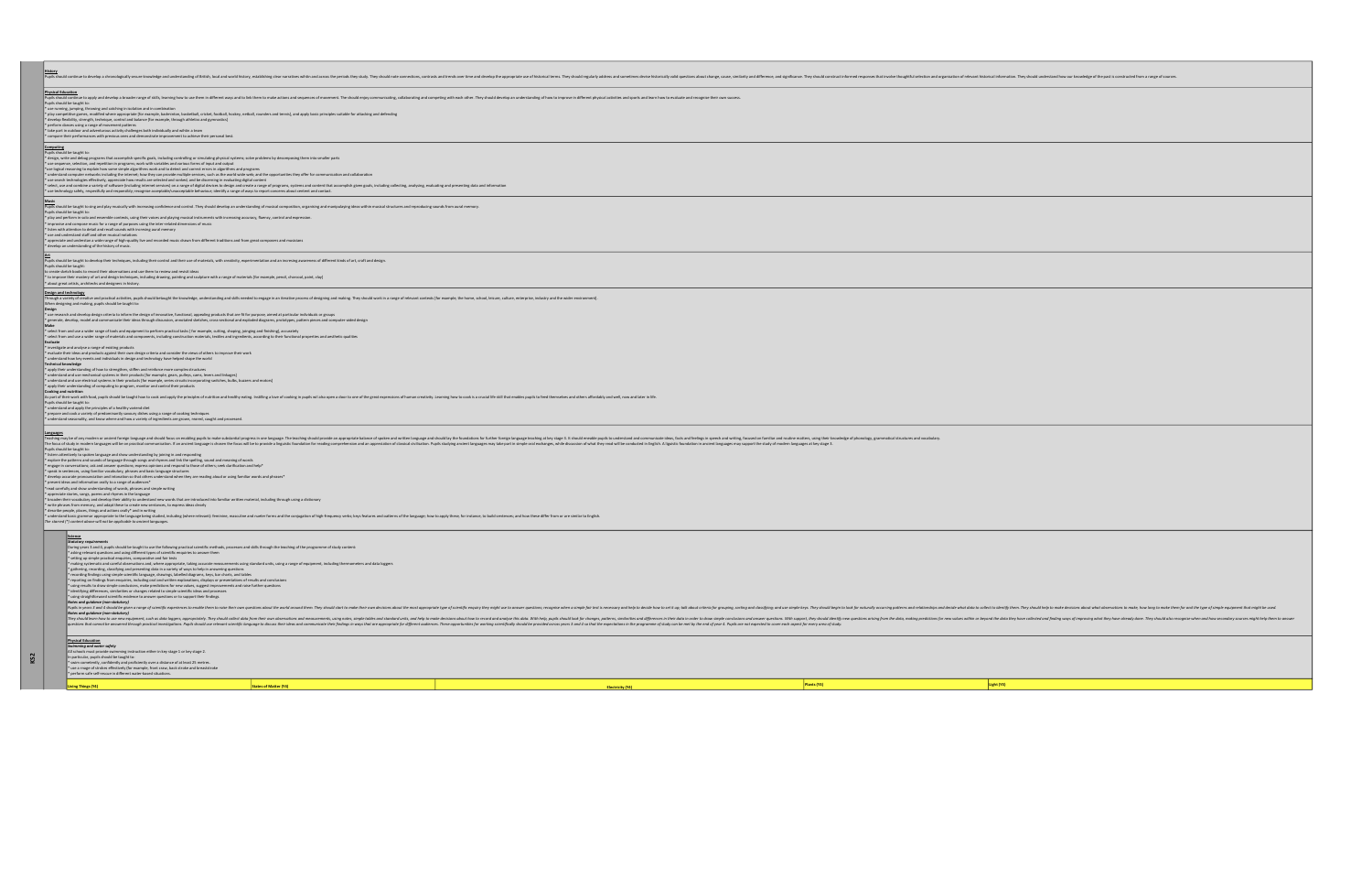|           | Pupils should continue to develop a chronologically secure knowledge and understanding of British, local and world history, establishing clear raratives within and across the periods they study. They should one concertions                                                                                                                                                                                                                                                                                                                                                                                                                                                                                                                                                                                                                                                                                                                                                                                                                                                                                                                                                                                                                                                                                                                                                                                                                                                                                                                                                                                                                                                                                                                                                                                                                                                                                                                                                                                                                                                         |
|-----------|----------------------------------------------------------------------------------------------------------------------------------------------------------------------------------------------------------------------------------------------------------------------------------------------------------------------------------------------------------------------------------------------------------------------------------------------------------------------------------------------------------------------------------------------------------------------------------------------------------------------------------------------------------------------------------------------------------------------------------------------------------------------------------------------------------------------------------------------------------------------------------------------------------------------------------------------------------------------------------------------------------------------------------------------------------------------------------------------------------------------------------------------------------------------------------------------------------------------------------------------------------------------------------------------------------------------------------------------------------------------------------------------------------------------------------------------------------------------------------------------------------------------------------------------------------------------------------------------------------------------------------------------------------------------------------------------------------------------------------------------------------------------------------------------------------------------------------------------------------------------------------------------------------------------------------------------------------------------------------------------------------------------------------------------------------------------------------------|
|           | <b>Physical Education</b><br>Puplis should continue to apply and develop a broader range of skills, learning how to use them in different ways and to link them to make actions and sequences of movement. The should enjoy communicating, collaborating an<br>Pupils should be taught to:<br>* use running, jumping, throwing and catching in isolation and in combination<br>* play competitive games, modified where appropriate [for example, badminton, basketball, cricket, football, hockey, netball, rounders and tennis], and apply basic principles suitable for attacking and defending<br>* develop flexibility, strength, technique, control and balance [for example, through athletics and gymnastics]<br>* perform dances using a range of movement patterns<br>* take part in outdoor and adventurous activity challenges both individually and wihtin a team<br>* compare their performances with previous ones and demonstrate improvement to achieve their personal best.                                                                                                                                                                                                                                                                                                                                                                                                                                                                                                                                                                                                                                                                                                                                                                                                                                                                                                                                                                                                                                                                                          |
| Computing | Pupils should be taught to:<br>* design, write and debug programs that accomplish specific goals, including controlling or simulating physical systems; solve problems by decomposing them into smaller parts<br>* use sequence, selection, and repetition in programs; work with variables and various forms of input and output<br>*use logical reasoning to explain how some simple algorithms work and to detect and correct errors in algorithms and programs<br>understand computer networks including the internet; how they can provide multiple services, such as the world wide web; and the opportunities they offer for communication and collaboration<br>* use search technologies effectively, appreciate how results are selected and ranked, and be discerning in evaluating digital content<br>* select, use and combine a variety of software (including internet services) on a range of digital devices to design and create a range of programs, systems and content that accomplish given goals, including collecting, a<br>* use technology safely, respectfully and responsibly; recognise acceptable/unacceptable behaviour; identify a range of ways to report concerns about centent and contact.                                                                                                                                                                                                                                                                                                                                                                                                                                                                                                                                                                                                                                                                                                                                                                                                                                                          |
|           | Pupils should be taught to sing and play musically with increasing confidence and control. They should develop an understanding of musical composition, organising and manipulaying ideas within musical structures and reprod<br>Pupils should be taught to:<br>* play and perform in solo and ensemble contexts, using their voices and playing musical instruments with increasing accuracy, fluency, control and expression.<br>* improvise and compose music for a range of purposes using the inter-related dimensions of music<br>* listen with attention to detail and recall sounds with incresing aural memory<br>* use and understand staff and other musical notation<br>* appreciate and understan a wide range of high-quality live and recorded music drawn from different traditions and from great composers and musicians<br>* develop an understanding of the history of music.                                                                                                                                                                                                                                                                                                                                                                                                                                                                                                                                                                                                                                                                                                                                                                                                                                                                                                                                                                                                                                                                                                                                                                                     |
|           | Pupils should be taught to develop their techniques, including their control and their use of materials, with creativity, experimentation and an incresing awareness of different kinds of art, craft and design.<br>Pupils should be taught:<br>to create sketch books to record their observations and use them to review and revisit ideas<br>* to improve their mastery of art and design techniques, including drawing, painting and sculpture with a range of materials [for example, pencil, charcoal, paint, clay]<br>* about great artists, architechs and designers in history.                                                                                                                                                                                                                                                                                                                                                                                                                                                                                                                                                                                                                                                                                                                                                                                                                                                                                                                                                                                                                                                                                                                                                                                                                                                                                                                                                                                                                                                                                              |
|           | Design and technology<br>Through a variety of creative and practical activities, pupils should betaught the knowledge, understanding and skills needed to engage in an iterative process of designing and making. They should wor<br>When designing and making, pupils should be taught to:                                                                                                                                                                                                                                                                                                                                                                                                                                                                                                                                                                                                                                                                                                                                                                                                                                                                                                                                                                                                                                                                                                                                                                                                                                                                                                                                                                                                                                                                                                                                                                                                                                                                                                                                                                                            |
|           | * use research and develop design criteria to inform the design of innovative, functional, appealing products that are fit for purpose, aimed at particular individuals or groups<br>* generate, develop, model and communicate their ideas through discussion, annotated sketches, cross-sectional and exploded diagrams, prototypes, pattern pieces and computer-aided design<br>* select from and use a wider range of tools and equipment to perform practical tasks [ for example, cutting, shaping, joinging and finishing], accurately<br>* select from and use a wider range of materials and components, including construction materials, textiles and ingredients, according to their functional properties and aesthetic qualities<br>* investigate and analyse a range of existing products<br>* evaluate their ideas and products against their own design criteria and consider the views of others to improve their work                                                                                                                                                                                                                                                                                                                                                                                                                                                                                                                                                                                                                                                                                                                                                                                                                                                                                                                                                                                                                                                                                                                                               |
|           | * understand how key events and individuals in design and technology have helped shape the world<br><b>Technical knowledge</b><br>* apply their understanding of how to strengthen, stiffen and reinforce more complex structures<br>* understand and use mechanical systems in their products [for example, gears, pulleys, cams, levers and linkages]<br>' understand and use electrical systems in their products [for example, series circuits incorporating switches, bulbs, buzzers and motors]<br>* apply their understanding of computing to program, monitor and control their products<br>Cooking and nutrition<br>As part of their work with food, pupils should be taught how to cook and apply the principles of nutrition and healthy eating. Instilling a love of cooking in pupils will also open a door to one of the great expressions of<br>Pupils should be taught to:<br>* understand and apply the principles of a healthy variend diet<br>* prepare and cook a variety of predominantly savoury dishes using a range of cooking techniques<br>* understand seasonality, and know where and how a variety of ingredients are grown, reared, caught and processed.                                                                                                                                                                                                                                                                                                                                                                                                                                                                                                                                                                                                                                                                                                                                                                                                                                                                                                |
| Languages | Teaching may be of any modern or ancient foreign language and should focus on enabling pupils to make substantial progress in one language. The teaching should provide an appropriate balance of spoken and witten language a<br>The focus of study in modern languages will be on practical communication. If an ancient language is chosen the focus will be to provide a linguistic foundation for reading comprehension and an appreciation of classical ci<br>Pupils should be taught to:<br>* listern attentively to spoken language and show understanding by joining in and responding<br>* explore the patterns and sounds of language through songs and rhymes and link the spelling, sound and meaning of words<br>* engage in conversations; ask and answer questions; express opinions and respond to those of others; seek clarification and help*<br>speak in sentences, using familiar vocabulary, phrases and basic language structures<br>* develop accurate pronounciation and intonation so that others understand when they are reading aloud or using familiar words and phrases*<br>* present ideas and information orally to a range of audiences*<br>*read carefully and show understanding of words, phrases and simple writing<br>* appreciate stories, songs, poems and rhymes in the language<br>broaden their vocabulary and develop their ability to understand new words that are introduced into familiar written material, including through using a dictionary<br>* write phrases from memory, and adapt these to create new sentances, to express ideas clearly<br>* describe people, places, things and actions orally* and in writing<br>understand basic grammar appropriate to the language being studied, including (where relevant): feminine, masculine and nueter forms and the conjugation of high-frequency verbs; keys features and oatterns of the language;<br>The starred (*) content above will not be applicable to ancient languages.                                                                                            |
|           | Science<br><b>Statutory requirements</b><br>During years 3 and 4, pupils should be taught to use the following practical scientific methods, processes and skills through the teaching of the programme of study content:<br>asking relevant questions and using different types of scientific enquiries to answer them<br>setting up simple practical enquiries, comparative and fair tests<br>* making systematic and careful observations and, where appropriate, taking accurate measurements using standard units, using a range of equipment, including thermometers and data loggers<br>gathering, recording, classifying and presenting data in a variety of ways to help in answering questions<br>recording findings using simple scientific language, drawings, labelled diagrams, keys, bar charts, and tables<br>reporting on findings from enquiries, including oral and written explanations, displays or presentations of results and conclusions<br>using results to draw simple conclusions, make predictions for new values, suggest improvements and raise further questions<br>identifying differences, similarities or changes related to simple scientific ideas and processes<br>using straightforward scientific evidence to answer questions or to support their findings.<br>Notes and quidance (non-statutory)<br>Pupils in years 3 and 4 should be given a range of scientific experiences to enothe them to noise them to colle them to noise them and the mounted mounted the world around them. They should stant to mode them to search ene<br>Notes and guidance (non-statutory)<br>They should learn how to use new equipment, such as data logens, oppropriately. They should collect dota from their own observations on these where not would assurements, using notes simplat along beas simplat blow to reco<br>questions that cannot be answered through practical investigations. Pupils should use relevant scientific language to discuss their ideas and communicate their findings in woys that are appropriate for different audiences. |
|           | <b>Physical Education</b><br>Swimming and water safety<br>All schools must provide swimming instruction either in key stage 1 or key stage 2.<br>particular, pupils should be taught to:<br>swim cometently, confidently and proficiently over a distance of at least 25 metres.<br>use a rnage of strokes effectively (for example, front craw, back stroke and breaststroke<br>perform safe self-rescue in different water-based situations.                                                                                                                                                                                                                                                                                                                                                                                                                                                                                                                                                                                                                                                                                                                                                                                                                                                                                                                                                                                                                                                                                                                                                                                                                                                                                                                                                                                                                                                                                                                                                                                                                                         |
|           | Plants (Y3)<br>Light (Y3)<br><b>States of Matter (Y4)</b><br><b>Electricity (Y4)</b><br><b>Living Things (Y4)</b>                                                                                                                                                                                                                                                                                                                                                                                                                                                                                                                                                                                                                                                                                                                                                                                                                                                                                                                                                                                                                                                                                                                                                                                                                                                                                                                                                                                                                                                                                                                                                                                                                                                                                                                                                                                                                                                                                                                                                                      |

| ation. They should understand how our knowledge of the past is constructed from a range of sources.                                                                  |  |  |  |  |  |
|----------------------------------------------------------------------------------------------------------------------------------------------------------------------|--|--|--|--|--|
|                                                                                                                                                                      |  |  |  |  |  |
|                                                                                                                                                                      |  |  |  |  |  |
|                                                                                                                                                                      |  |  |  |  |  |
|                                                                                                                                                                      |  |  |  |  |  |
|                                                                                                                                                                      |  |  |  |  |  |
|                                                                                                                                                                      |  |  |  |  |  |
|                                                                                                                                                                      |  |  |  |  |  |
|                                                                                                                                                                      |  |  |  |  |  |
|                                                                                                                                                                      |  |  |  |  |  |
|                                                                                                                                                                      |  |  |  |  |  |
|                                                                                                                                                                      |  |  |  |  |  |
|                                                                                                                                                                      |  |  |  |  |  |
|                                                                                                                                                                      |  |  |  |  |  |
|                                                                                                                                                                      |  |  |  |  |  |
|                                                                                                                                                                      |  |  |  |  |  |
|                                                                                                                                                                      |  |  |  |  |  |
|                                                                                                                                                                      |  |  |  |  |  |
|                                                                                                                                                                      |  |  |  |  |  |
| fy them. They should help to make decisions about what observations to make, how long to make them for and the type of simple equipment that might be used.          |  |  |  |  |  |
| a they have collected and finding ways of improving what they have already done. They should also recognise when and how secondary sources might help them to answer |  |  |  |  |  |
|                                                                                                                                                                      |  |  |  |  |  |